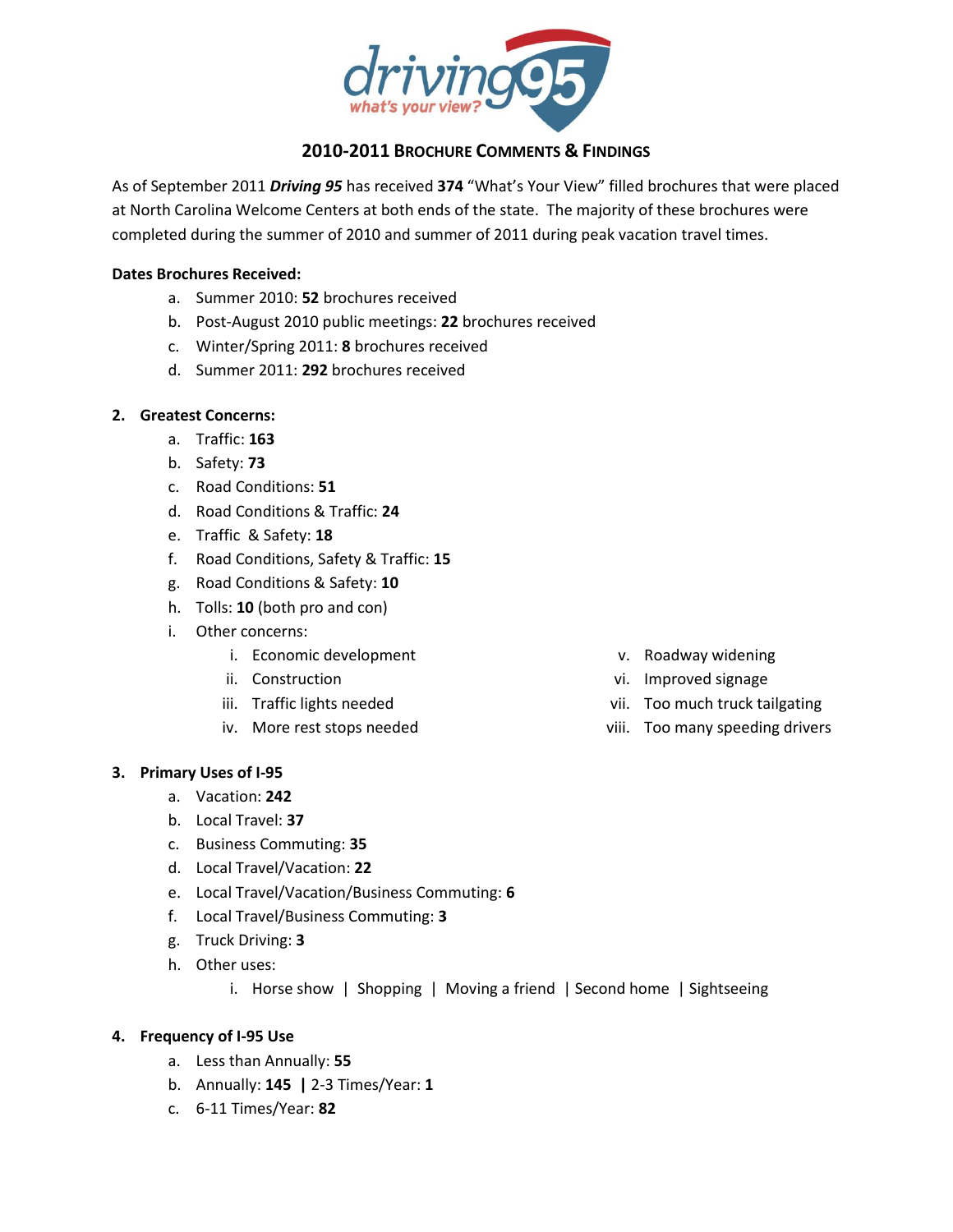

# **2010-2011 BROCHURE COMMENTS & FINDINGS**

As of September 2011 *Driving 95* has received **374** "What's Your View" filled brochures that were placed at North Carolina Welcome Centers at both ends of the state. The majority of these brochures were completed during the summer of 2010 and summer of 2011 during peak vacation travel times.

### **Dates Brochures Received:**

- a. Summer 2010: **52** brochures received
- b. Post-August 2010 public meetings: **22** brochures received
- c. Winter/Spring 2011: **8** brochures received
- d. Summer 2011: **292** brochures received

### **2. Greatest Concerns:**

- a. Traffic: **163**
- b. Safety: **73**
- c. Road Conditions: **51**
- d. Road Conditions & Traffic: **24**
- e. Traffic & Safety: **18**
- f. Road Conditions, Safety & Traffic: **15**
- g. Road Conditions & Safety: **10**
- h. Tolls: **10** (both pro and con)
- i. Other concerns:
	- i. Economic development
	- ii. Construction
	- iii. Traffic lights needed
	- iv. More rest stops needed
- v. Roadway widening
- vi. Improved signage
- vii. Too much truck tailgating
- viii. Too many speeding drivers

#### **3. Primary Uses of I-95**

- a. Vacation: **242**
- b. Local Travel: **37**
- c. Business Commuting: **35**
- d. Local Travel/Vacation: **22**
- e. Local Travel/Vacation/Business Commuting: **6**
- f. Local Travel/Business Commuting: **3**
- g. Truck Driving: **3**
- h. Other uses:
	- i. Horse show | Shopping | Moving a friend | Second home | Sightseeing

## **4. Frequency of I-95 Use**

- a. Less than Annually: **55**
- b. Annually: **145 |** 2-3 Times/Year: **1**
- c. 6-11 Times/Year: **82**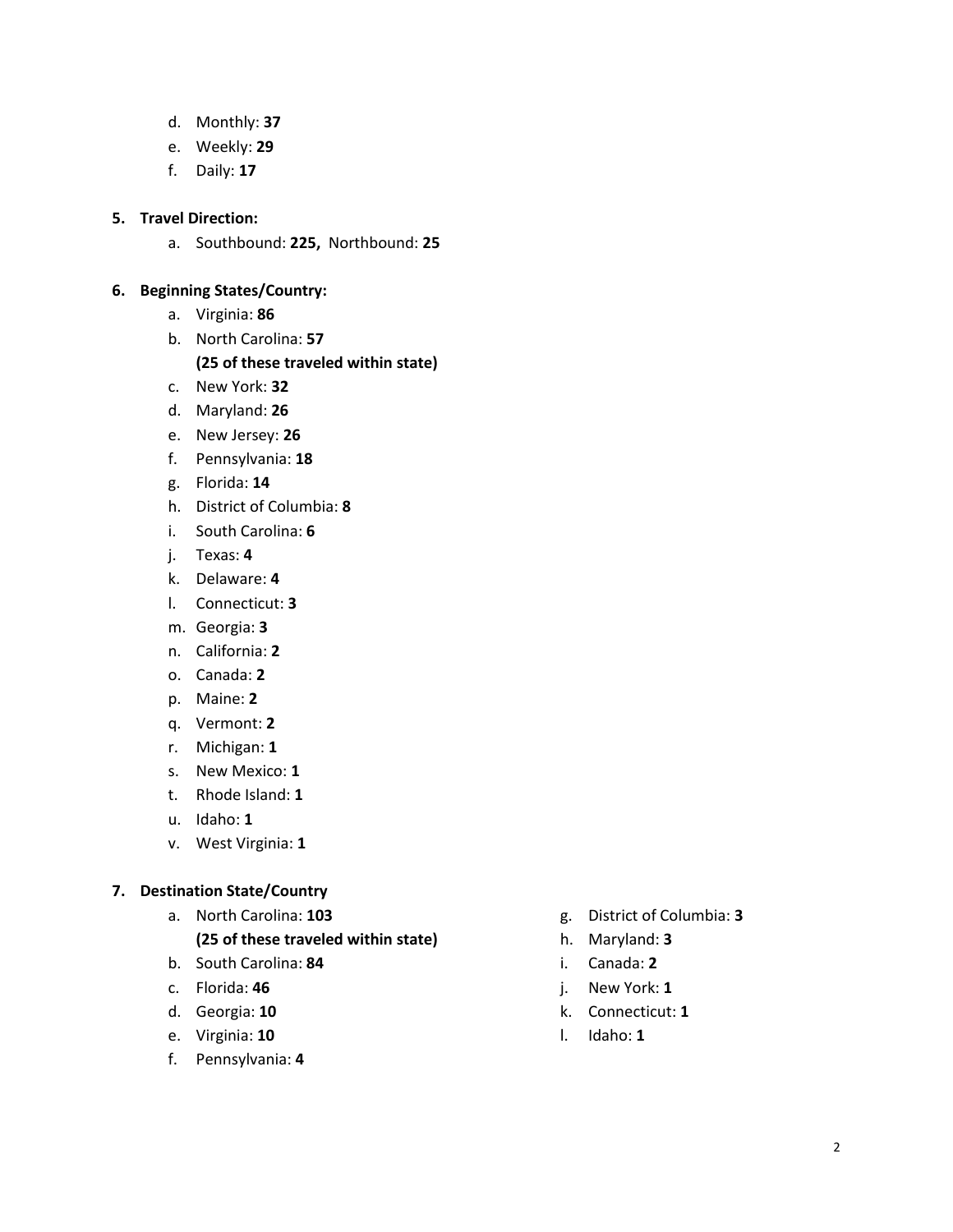- d. Monthly: **37**
- e. Weekly: **29**
- f. Daily: **17**

### **5. Travel Direction:**

a. Southbound: **225,** Northbound: **25**

### **6. Beginning States/Country:**

- a. Virginia: **86**
- b. North Carolina: **57**

# **(25 of these traveled within state)**

- c. New York: **32**
- d. Maryland: **26**
- e. New Jersey: **26**
- f. Pennsylvania: **18**
- g. Florida: **14**
- h. District of Columbia: **8**
- i. South Carolina: **6**
- j. Texas: **4**
- k. Delaware: **4**
- l. Connecticut: **3**
- m. Georgia: **3**
- n. California: **2**
- o. Canada: **2**
- p. Maine: **2**
- q. Vermont: **2**
- r. Michigan: **1**
- s. New Mexico: **1**
- t. Rhode Island: **1**
- u. Idaho: **1**
- v. West Virginia: **1**

#### **7. Destination State/Country**

- a. North Carolina: **103 (25 of these traveled within state)**
- b. South Carolina: **84**
- c. Florida: **46**
- d. Georgia: **10**
- e. Virginia: **10**
- f. Pennsylvania: **4**
- g. District of Columbia: **3**
- h. Maryland: **3**
- i. Canada: **2**
- j. New York: **1**
- k. Connecticut: **1**
- l. Idaho: **1**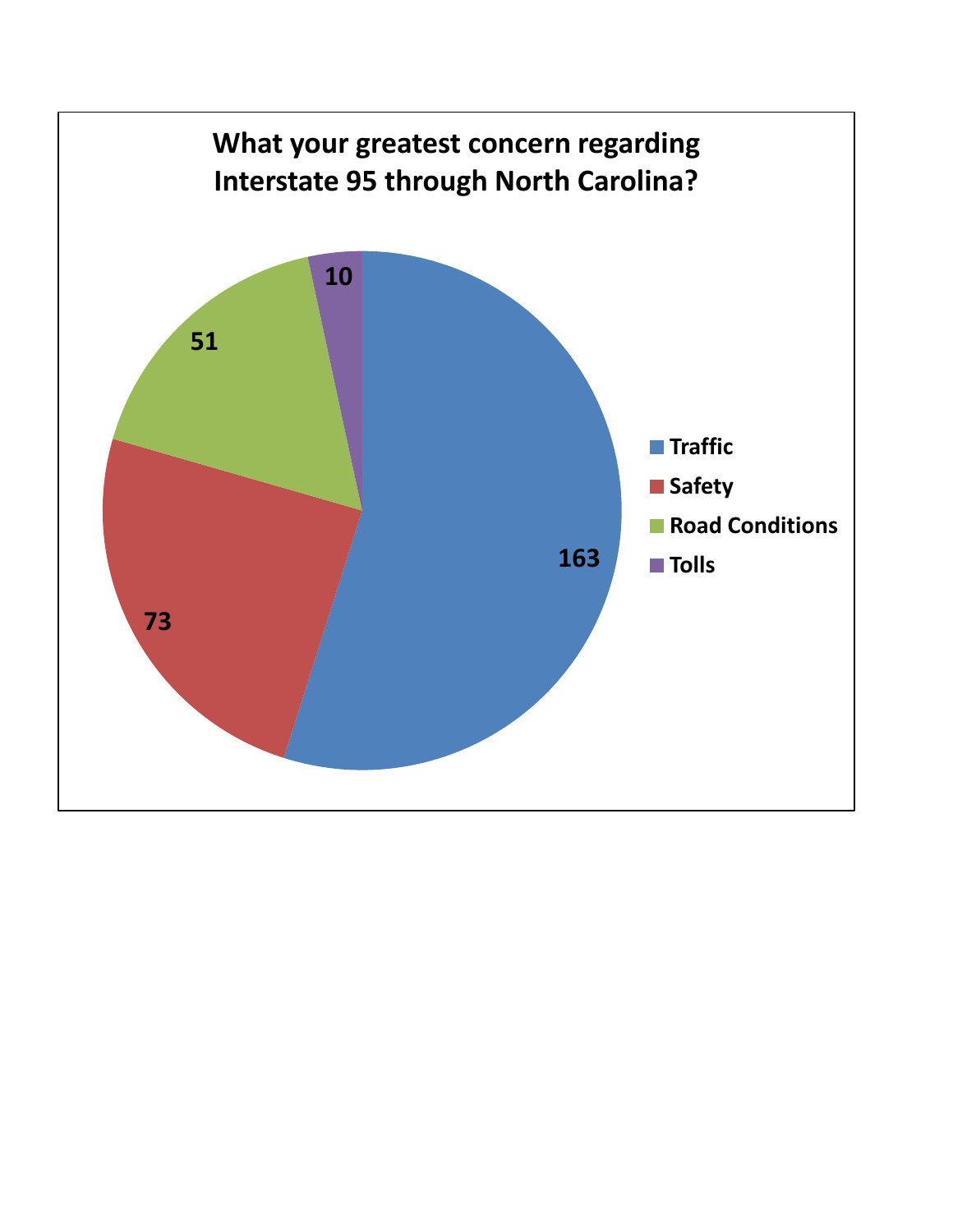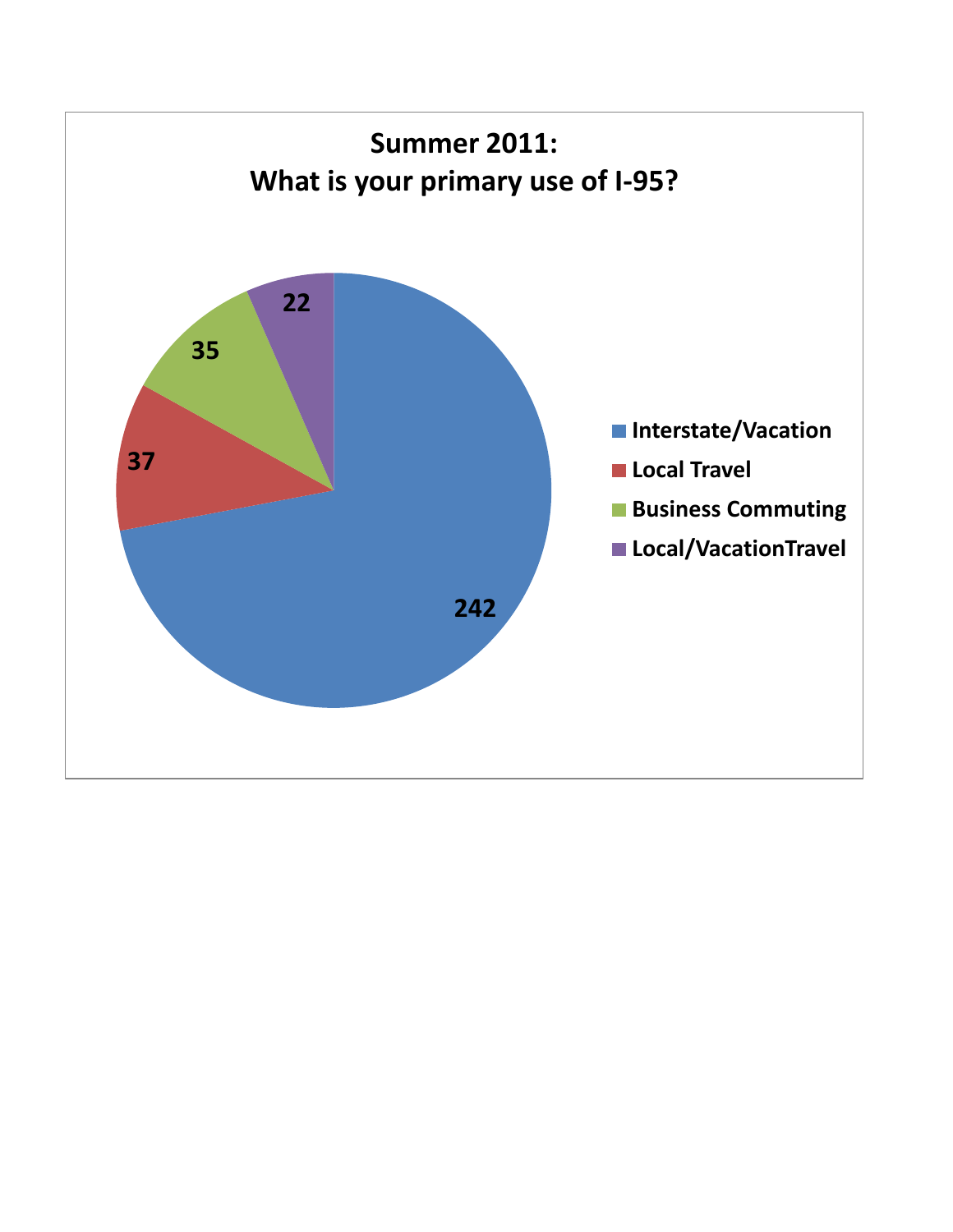